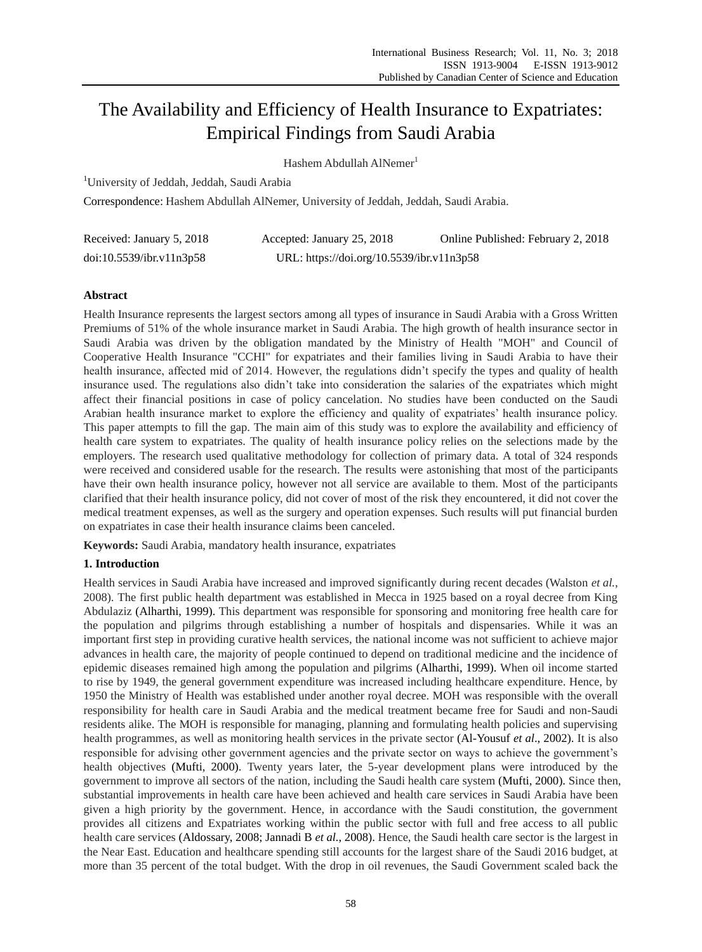# The Availability and Efficiency of Health Insurance to Expatriates: Empirical Findings from Saudi Arabia

Hashem Abdullah AlNemer<sup>1</sup>

<sup>1</sup>University of Jeddah, Jeddah, Saudi Arabia

Correspondence: Hashem Abdullah AlNemer, University of Jeddah, Jeddah, Saudi Arabia.

| Received: January 5, 2018 | Accepted: January 25, 2018                | Online Published: February 2, 2018 |
|---------------------------|-------------------------------------------|------------------------------------|
| doi:10.5539/ibr.v11n3p58  | URL: https://doi.org/10.5539/ibr.v11n3p58 |                                    |

# **Abstract**

Health Insurance represents the largest sectors among all types of insurance in Saudi Arabia with a Gross Written Premiums of 51% of the whole insurance market in Saudi Arabia. The high growth of health insurance sector in Saudi Arabia was driven by the obligation mandated by the Ministry of Health "MOH" and Council of Cooperative Health Insurance "CCHI" for expatriates and their families living in Saudi Arabia to have their health insurance, affected mid of 2014. However, the regulations didn't specify the types and quality of health insurance used. The regulations also didn't take into consideration the salaries of the expatriates which might affect their financial positions in case of policy cancelation. No studies have been conducted on the Saudi Arabian health insurance market to explore the efficiency and quality of expatriates' health insurance policy. This paper attempts to fill the gap. The main aim of this study was to explore the availability and efficiency of health care system to expatriates. The quality of health insurance policy relies on the selections made by the employers. The research used qualitative methodology for collection of primary data. A total of 324 responds were received and considered usable for the research. The results were astonishing that most of the participants have their own health insurance policy, however not all service are available to them. Most of the participants clarified that their health insurance policy, did not cover of most of the risk they encountered, it did not cover the medical treatment expenses, as well as the surgery and operation expenses. Such results will put financial burden on expatriates in case their health insurance claims been canceled.

**Keywords:** Saudi Arabia, mandatory health insurance, expatriates

## **1. Introduction**

Health services in Saudi Arabia have increased and improved significantly during recent decades (Walston *et al.*, 2008). The first public health department was established in Mecca in 1925 based on a royal decree from King Abdulaziz (Alharthi, 1999). This department was responsible for sponsoring and monitoring free health care for the population and pilgrims through establishing a number of hospitals and dispensaries. While it was an important first step in providing curative health services, the national income was not sufficient to achieve major advances in health care, the majority of people continued to depend on traditional medicine and the incidence of epidemic diseases remained high among the population and pilgrims (Alharthi, 1999). When oil income started to rise by 1949, the general government expenditure was increased including healthcare expenditure. Hence, by 1950 the Ministry of Health was established under another royal decree. MOH was responsible with the overall responsibility for health care in Saudi Arabia and the medical treatment became free for Saudi and non-Saudi residents alike. The MOH is responsible for managing, planning and formulating health policies and supervising health programmes, as well as monitoring health services in the private sector (Al-Yousuf *et al*., 2002). It is also responsible for advising other government agencies and the private sector on ways to achieve the government's health objectives (Mufti, 2000). Twenty years later, the 5-year development plans were introduced by the government to improve all sectors of the nation, including the Saudi health care system (Mufti, 2000). Since then, substantial improvements in health care have been achieved and health care services in Saudi Arabia have been given a high priority by the government. Hence, in accordance with the Saudi constitution, the government provides all citizens and Expatriates working within the public sector with full and free access to all public health care services (Aldossary, 2008; Jannadi B *et al.,* 2008). Hence, the Saudi health care sector is the largest in the Near East. Education and healthcare spending still accounts for the largest share of the Saudi 2016 budget, at more than 35 percent of the total budget. With the drop in oil revenues, the Saudi Government scaled back the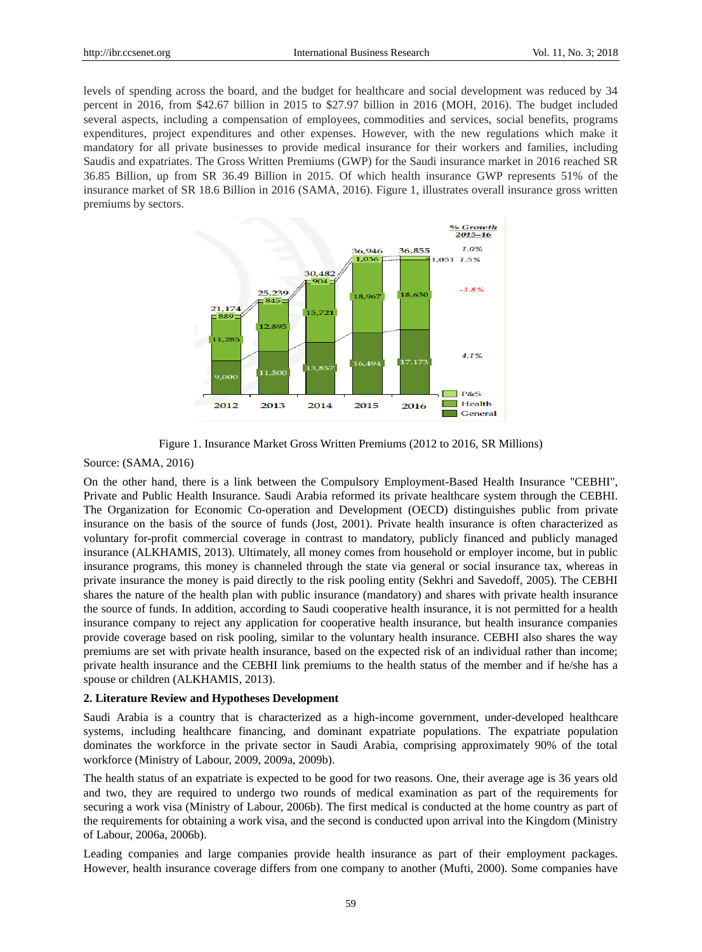levels of spending across the board, and the budget for healthcare and social development was reduced by 34 percent in 2016, from \$42.67 billion in 2015 to \$27.97 billion in 2016 (MOH, 2016). The budget included several aspects, including a compensation of employees, commodities and services, social benefits, programs expenditures, project expenditures and other expenses. However, with the new regulations which make it mandatory for all private businesses to provide medical insurance for their workers and families, including Saudis and expatriates. The Gross Written Premiums (GWP) for the Saudi insurance market in 2016 reached SR 36.85 Billion, up from SR 36.49 Billion in 2015. Of which health insurance GWP represents 51% of the insurance market of SR 18.6 Billion in 2016 (SAMA, 2016). Figure 1, illustrates overall insurance gross written premiums by sectors.





## Source: (SAMA, 2016)

On the other hand, there is a link between the Compulsory Employment-Based Health Insurance "CEBHI", Private and Public Health Insurance. Saudi Arabia reformed its private healthcare system through the CEBHI. The Organization for Economic Co-operation and Development (OECD) distinguishes public from private insurance on the basis of the source of funds (Jost, 2001). Private health insurance is often characterized as voluntary for-profit commercial coverage in contrast to mandatory, publicly financed and publicly managed insurance (ALKHAMIS, 2013). Ultimately, all money comes from household or employer income, but in public insurance programs, this money is channeled through the state via general or social insurance tax, whereas in private insurance the money is paid directly to the risk pooling entity (Sekhri and Savedoff, 2005). The CEBHI shares the nature of the health plan with public insurance (mandatory) and shares with private health insurance the source of funds. In addition, according to Saudi cooperative health insurance, it is not permitted for a health insurance company to reject any application for cooperative health insurance, but health insurance companies provide coverage based on risk pooling, similar to the voluntary health insurance. CEBHI also shares the way premiums are set with private health insurance, based on the expected risk of an individual rather than income; private health insurance and the CEBHI link premiums to the health status of the member and if he/she has a spouse or children (ALKHAMIS, 2013).

#### **2. Literature Review and Hypotheses Development**

Saudi Arabia is a country that is characterized as a high-income government, under-developed healthcare systems, including healthcare financing, and dominant expatriate populations. The expatriate population dominates the workforce in the private sector in Saudi Arabia, comprising approximately 90% of the total workforce (Ministry of Labour, 2009, 2009a, 2009b).

The health status of an expatriate is expected to be good for two reasons. One, their average age is 36 years old and two, they are required to undergo two rounds of medical examination as part of the requirements for securing a work visa (Ministry of Labour, 2006b). The first medical is conducted at the home country as part of the requirements for obtaining a work visa, and the second is conducted upon arrival into the Kingdom (Ministry of Labour, 2006a, 2006b).

Leading companies and large companies provide health insurance as part of their employment packages. However, health insurance coverage differs from one company to another (Mufti, 2000). Some companies have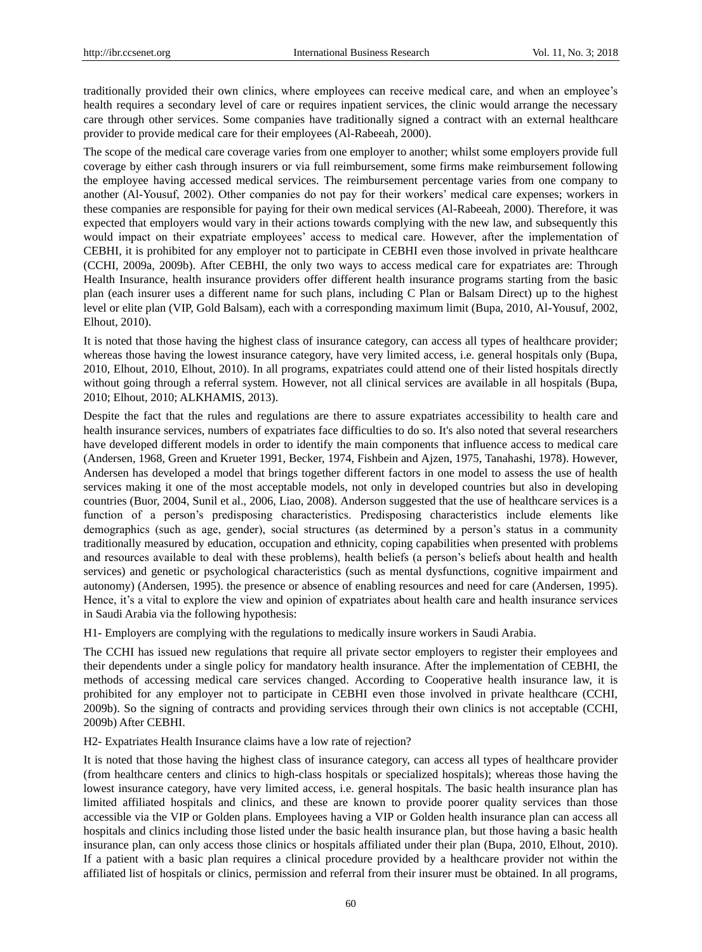traditionally provided their own clinics, where employees can receive medical care, and when an employee's health requires a secondary level of care or requires inpatient services, the clinic would arrange the necessary care through other services. Some companies have traditionally signed a contract with an external healthcare provider to provide medical care for their employees (Al-Rabeeah, 2000).

The scope of the medical care coverage varies from one employer to another; whilst some employers provide full coverage by either cash through insurers or via full reimbursement, some firms make reimbursement following the employee having accessed medical services. The reimbursement percentage varies from one company to another (Al-Yousuf, 2002). Other companies do not pay for their workers' medical care expenses; workers in these companies are responsible for paying for their own medical services (Al-Rabeeah, 2000). Therefore, it was expected that employers would vary in their actions towards complying with the new law, and subsequently this would impact on their expatriate employees' access to medical care. However, after the implementation of CEBHI, it is prohibited for any employer not to participate in CEBHI even those involved in private healthcare (CCHI, 2009a, 2009b). After CEBHI, the only two ways to access medical care for expatriates are: Through Health Insurance, health insurance providers offer different health insurance programs starting from the basic plan (each insurer uses a different name for such plans, including C Plan or Balsam Direct) up to the highest level or elite plan (VIP, Gold Balsam), each with a corresponding maximum limit (Bupa, 2010, Al-Yousuf, 2002, Elhout, 2010).

It is noted that those having the highest class of insurance category, can access all types of healthcare provider; whereas those having the lowest insurance category, have very limited access, i.e. general hospitals only (Bupa, 2010, Elhout, 2010, Elhout, 2010). In all programs, expatriates could attend one of their listed hospitals directly without going through a referral system. However, not all clinical services are available in all hospitals (Bupa, 2010; Elhout, 2010; ALKHAMIS, 2013).

Despite the fact that the rules and regulations are there to assure expatriates accessibility to health care and health insurance services, numbers of expatriates face difficulties to do so. It's also noted that several researchers have developed different models in order to identify the main components that influence access to medical care (Andersen, 1968, Green and Krueter 1991, Becker, 1974, Fishbein and Ajzen, 1975, Tanahashi, 1978). However, Andersen has developed a model that brings together different factors in one model to assess the use of health services making it one of the most acceptable models, not only in developed countries but also in developing countries (Buor, 2004, Sunil et al., 2006, Liao, 2008). Anderson suggested that the use of healthcare services is a function of a person's predisposing characteristics. Predisposing characteristics include elements like demographics (such as age, gender), social structures (as determined by a person's status in a community traditionally measured by education, occupation and ethnicity, coping capabilities when presented with problems and resources available to deal with these problems), health beliefs (a person's beliefs about health and health services) and genetic or psychological characteristics (such as mental dysfunctions, cognitive impairment and autonomy) (Andersen, 1995). the presence or absence of enabling resources and need for care (Andersen, 1995). Hence, it's a vital to explore the view and opinion of expatriates about health care and health insurance services in Saudi Arabia via the following hypothesis:

H1- Employers are complying with the regulations to medically insure workers in Saudi Arabia.

The CCHI has issued new regulations that require all private sector employers to register their employees and their dependents under a single policy for mandatory health insurance. After the implementation of CEBHI, the methods of accessing medical care services changed. According to Cooperative health insurance law, it is prohibited for any employer not to participate in CEBHI even those involved in private healthcare (CCHI, 2009b). So the signing of contracts and providing services through their own clinics is not acceptable (CCHI, 2009b) After CEBHI.

H2- Expatriates Health Insurance claims have a low rate of rejection?

It is noted that those having the highest class of insurance category, can access all types of healthcare provider (from healthcare centers and clinics to high-class hospitals or specialized hospitals); whereas those having the lowest insurance category, have very limited access, i.e. general hospitals. The basic health insurance plan has limited affiliated hospitals and clinics, and these are known to provide poorer quality services than those accessible via the VIP or Golden plans. Employees having a VIP or Golden health insurance plan can access all hospitals and clinics including those listed under the basic health insurance plan, but those having a basic health insurance plan, can only access those clinics or hospitals affiliated under their plan (Bupa, 2010, Elhout, 2010). If a patient with a basic plan requires a clinical procedure provided by a healthcare provider not within the affiliated list of hospitals or clinics, permission and referral from their insurer must be obtained. In all programs,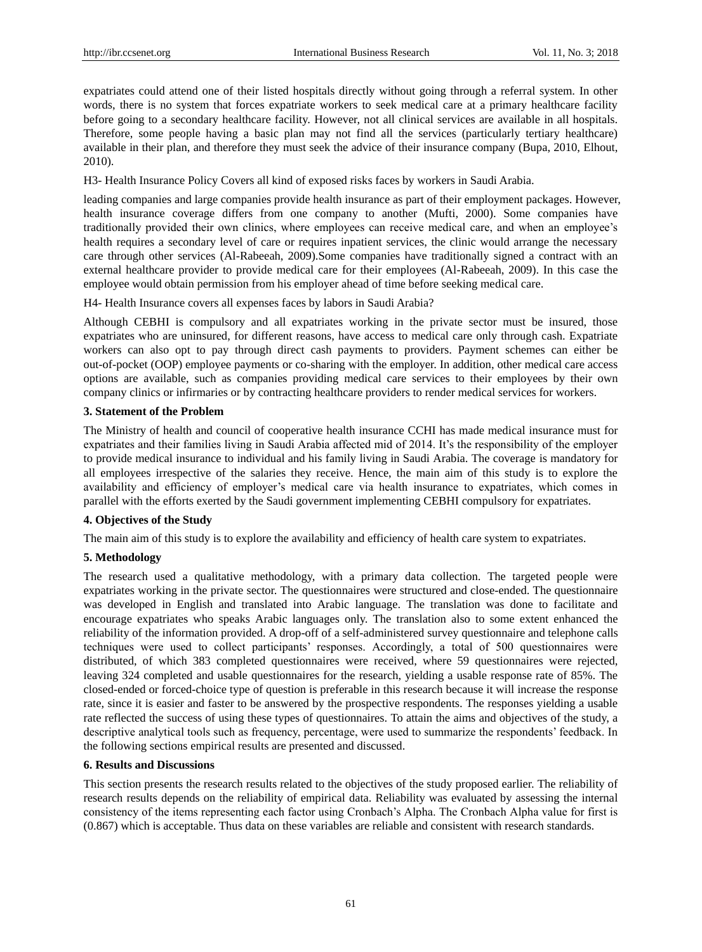expatriates could attend one of their listed hospitals directly without going through a referral system. In other words, there is no system that forces expatriate workers to seek medical care at a primary healthcare facility before going to a secondary healthcare facility. However, not all clinical services are available in all hospitals. Therefore, some people having a basic plan may not find all the services (particularly tertiary healthcare) available in their plan, and therefore they must seek the advice of their insurance company (Bupa, 2010, Elhout, 2010).

H3- Health Insurance Policy Covers all kind of exposed risks faces by workers in Saudi Arabia.

leading companies and large companies provide health insurance as part of their employment packages. However, health insurance coverage differs from one company to another (Mufti, 2000). Some companies have traditionally provided their own clinics, where employees can receive medical care, and when an employee's health requires a secondary level of care or requires inpatient services, the clinic would arrange the necessary care through other services (Al-Rabeeah, 2009).Some companies have traditionally signed a contract with an external healthcare provider to provide medical care for their employees (Al-Rabeeah, 2009). In this case the employee would obtain permission from his employer ahead of time before seeking medical care.

H4- Health Insurance covers all expenses faces by labors in Saudi Arabia?

Although CEBHI is compulsory and all expatriates working in the private sector must be insured, those expatriates who are uninsured, for different reasons, have access to medical care only through cash. Expatriate workers can also opt to pay through direct cash payments to providers. Payment schemes can either be out-of-pocket (OOP) employee payments or co-sharing with the employer. In addition, other medical care access options are available, such as companies providing medical care services to their employees by their own company clinics or infirmaries or by contracting healthcare providers to render medical services for workers.

## **3. Statement of the Problem**

The Ministry of health and council of cooperative health insurance CCHI has made medical insurance must for expatriates and their families living in Saudi Arabia affected mid of 2014. It's the responsibility of the employer to provide medical insurance to individual and his family living in Saudi Arabia. The coverage is mandatory for all employees irrespective of the salaries they receive. Hence, the main aim of this study is to explore the availability and efficiency of employer's medical care via health insurance to expatriates, which comes in parallel with the efforts exerted by the Saudi government implementing CEBHI compulsory for expatriates.

## **4. Objectives of the Study**

The main aim of this study is to explore the availability and efficiency of health care system to expatriates.

# **5. Methodology**

The research used a qualitative methodology, with a primary data collection. The targeted people were expatriates working in the private sector. The questionnaires were structured and close-ended. The questionnaire was developed in English and translated into Arabic language. The translation was done to facilitate and encourage expatriates who speaks Arabic languages only. The translation also to some extent enhanced the reliability of the information provided. A drop-off of a self-administered survey questionnaire and telephone calls techniques were used to collect participants' responses. Accordingly, a total of 500 questionnaires were distributed, of which 383 completed questionnaires were received, where 59 questionnaires were rejected, leaving 324 completed and usable questionnaires for the research, yielding a usable response rate of 85%. The closed-ended or forced-choice type of question is preferable in this research because it will increase the response rate, since it is easier and faster to be answered by the prospective respondents. The responses yielding a usable rate reflected the success of using these types of questionnaires. To attain the aims and objectives of the study, a descriptive analytical tools such as frequency, percentage, were used to summarize the respondents' feedback. In the following sections empirical results are presented and discussed.

## **6. Results and Discussions**

This section presents the research results related to the objectives of the study proposed earlier. The reliability of research results depends on the reliability of empirical data. Reliability was evaluated by assessing the internal consistency of the items representing each factor using Cronbach's Alpha. The Cronbach Alpha value for first is (0.867) which is acceptable. Thus data on these variables are reliable and consistent with research standards.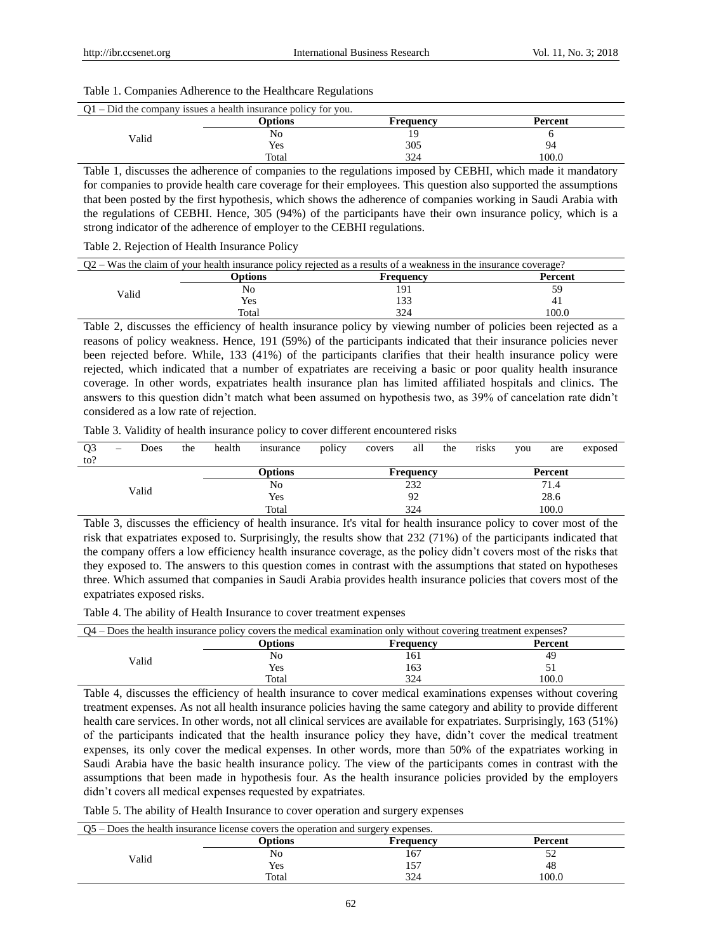#### Table 1. Companies Adherence to the Healthcare Regulations

| $Q1 - Did$ the company issues a health insurance policy for you. |         |           |         |  |  |  |
|------------------------------------------------------------------|---------|-----------|---------|--|--|--|
| Valid                                                            | Options | Frequency | Percent |  |  |  |
|                                                                  | No      | q         |         |  |  |  |
|                                                                  | Yes     | 305       | 94      |  |  |  |
|                                                                  | Total   | 324       | 100.0   |  |  |  |
|                                                                  |         |           |         |  |  |  |

Table 1, discusses the adherence of companies to the regulations imposed by CEBHI, which made it mandatory for companies to provide health care coverage for their employees. This question also supported the assumptions that been posted by the first hypothesis, which shows the adherence of companies working in Saudi Arabia with the regulations of CEBHI. Hence, 305 (94%) of the participants have their own insurance policy, which is a strong indicator of the adherence of employer to the CEBHI regulations.

#### Table 2. Rejection of Health Insurance Policy

| O2 – Was the claim of your health insurance policy rejected as a results of a weakness in the insurance coverage? |           |         |  |  |  |
|-------------------------------------------------------------------------------------------------------------------|-----------|---------|--|--|--|
| Options                                                                                                           | Frequency | Percent |  |  |  |
| No                                                                                                                | 191       | 59      |  |  |  |
| Yes                                                                                                               | 133       |         |  |  |  |
| Total                                                                                                             | 324       | 100.0   |  |  |  |
|                                                                                                                   |           |         |  |  |  |

Table 2, discusses the efficiency of health insurance policy by viewing number of policies been rejected as a reasons of policy weakness. Hence, 191 (59%) of the participants indicated that their insurance policies never been rejected before. While, 133 (41%) of the participants clarifies that their health insurance policy were rejected, which indicated that a number of expatriates are receiving a basic or poor quality health insurance coverage. In other words, expatriates health insurance plan has limited affiliated hospitals and clinics. The answers to this question didn't match what been assumed on hypothesis two, as 39% of cancelation rate didn't considered as a low rate of rejection.

Table 3. Validity of health insurance policy to cover different encountered risks

| Q3               | $\overline{\phantom{m}}$ | Does  | the | health | insurance | policy | covers | all              | the | risks | vou | are     | exposed |
|------------------|--------------------------|-------|-----|--------|-----------|--------|--------|------------------|-----|-------|-----|---------|---------|
| $\mathfrak{to}?$ |                          |       |     |        |           |        |        |                  |     |       |     |         |         |
|                  |                          |       |     |        | Options   |        |        | <b>Frequency</b> |     |       |     | Percent |         |
|                  |                          | Valid |     |        | No        |        |        | 232              |     |       |     | 71.4    |         |
|                  |                          |       |     |        | Yes       |        |        | 92               |     |       |     | 28.6    |         |
|                  |                          |       |     |        | Total     |        |        | 324              |     |       |     | 100.0   |         |

Table 3, discusses the efficiency of health insurance. It's vital for health insurance policy to cover most of the risk that expatriates exposed to. Surprisingly, the results show that 232 (71%) of the participants indicated that the company offers a low efficiency health insurance coverage, as the policy didn't covers most of the risks that they exposed to. The answers to this question comes in contrast with the assumptions that stated on hypotheses three. Which assumed that companies in Saudi Arabia provides health insurance policies that covers most of the expatriates exposed risks.

Table 4. The ability of Health Insurance to cover treatment expenses

| $Q4$ – Does the health insurance policy covers the medical examination only without covering treatment expenses? |         |           |         |  |  |
|------------------------------------------------------------------------------------------------------------------|---------|-----------|---------|--|--|
| Valid                                                                                                            | Options | Frequency | Percent |  |  |
|                                                                                                                  | No      | 161       | 49      |  |  |
|                                                                                                                  | Yes     | 163       |         |  |  |
|                                                                                                                  | Total   | 324       | 100.0   |  |  |

Table 4, discusses the efficiency of health insurance to cover medical examinations expenses without covering treatment expenses. As not all health insurance policies having the same category and ability to provide different health care services. In other words, not all clinical services are available for expatriates. Surprisingly, 163 (51%) of the participants indicated that the health insurance policy they have, didn't cover the medical treatment expenses, its only cover the medical expenses. In other words, more than 50% of the expatriates working in Saudi Arabia have the basic health insurance policy. The view of the participants comes in contrast with the assumptions that been made in hypothesis four. As the health insurance policies provided by the employers didn't covers all medical expenses requested by expatriates.

Table 5. The ability of Health Insurance to cover operation and surgery expenses

| $Q5 - Does$ the health insurance license covers the operation and surgery expenses. |         |           |         |  |  |
|-------------------------------------------------------------------------------------|---------|-----------|---------|--|--|
| Valid                                                                               | Options | Frequencv | Percent |  |  |
|                                                                                     | No      | 167       |         |  |  |
|                                                                                     | Yes     |           | 48      |  |  |
|                                                                                     | Total   | 324       | 100.0   |  |  |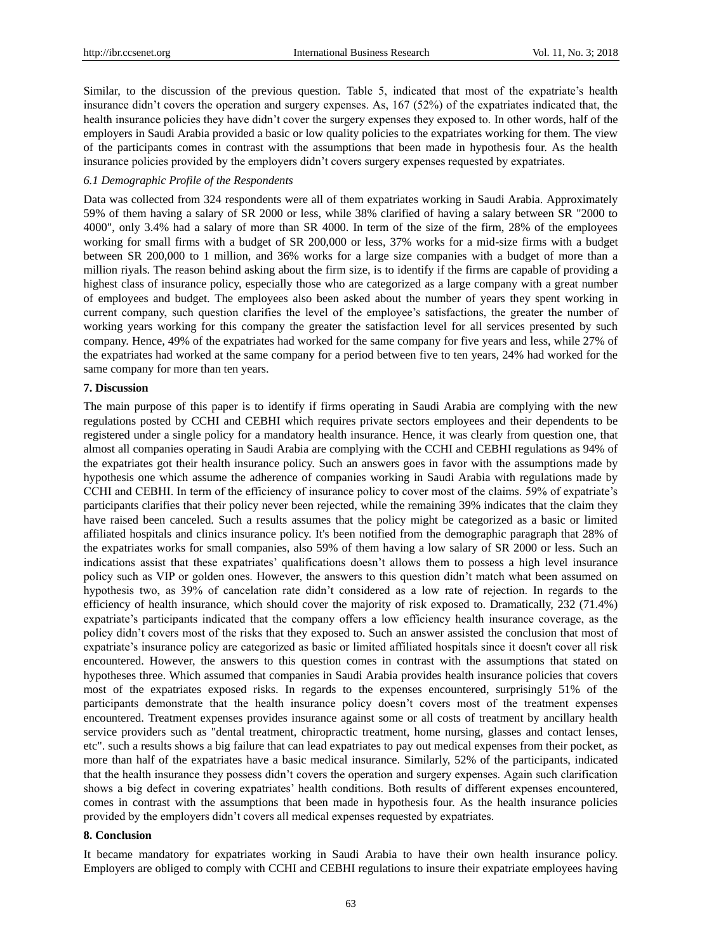Similar, to the discussion of the previous question. Table 5, indicated that most of the expatriate's health insurance didn't covers the operation and surgery expenses. As, 167 (52%) of the expatriates indicated that, the health insurance policies they have didn't cover the surgery expenses they exposed to. In other words, half of the employers in Saudi Arabia provided a basic or low quality policies to the expatriates working for them. The view of the participants comes in contrast with the assumptions that been made in hypothesis four. As the health insurance policies provided by the employers didn't covers surgery expenses requested by expatriates.

## *6.1 Demographic Profile of the Respondents*

Data was collected from 324 respondents were all of them expatriates working in Saudi Arabia. Approximately 59% of them having a salary of SR 2000 or less, while 38% clarified of having a salary between SR "2000 to 4000", only 3.4% had a salary of more than SR 4000. In term of the size of the firm, 28% of the employees working for small firms with a budget of SR 200,000 or less, 37% works for a mid-size firms with a budget between SR 200,000 to 1 million, and 36% works for a large size companies with a budget of more than a million riyals. The reason behind asking about the firm size, is to identify if the firms are capable of providing a highest class of insurance policy, especially those who are categorized as a large company with a great number of employees and budget. The employees also been asked about the number of years they spent working in current company, such question clarifies the level of the employee's satisfactions, the greater the number of working years working for this company the greater the satisfaction level for all services presented by such company. Hence, 49% of the expatriates had worked for the same company for five years and less, while 27% of the expatriates had worked at the same company for a period between five to ten years, 24% had worked for the same company for more than ten years.

## **7. Discussion**

The main purpose of this paper is to identify if firms operating in Saudi Arabia are complying with the new regulations posted by CCHI and CEBHI which requires private sectors employees and their dependents to be registered under a single policy for a mandatory health insurance. Hence, it was clearly from question one, that almost all companies operating in Saudi Arabia are complying with the CCHI and CEBHI regulations as 94% of the expatriates got their health insurance policy. Such an answers goes in favor with the assumptions made by hypothesis one which assume the adherence of companies working in Saudi Arabia with regulations made by CCHI and CEBHI. In term of the efficiency of insurance policy to cover most of the claims. 59% of expatriate's participants clarifies that their policy never been rejected, while the remaining 39% indicates that the claim they have raised been canceled. Such a results assumes that the policy might be categorized as a basic or limited affiliated hospitals and clinics insurance policy. It's been notified from the demographic paragraph that 28% of the expatriates works for small companies, also 59% of them having a low salary of SR 2000 or less. Such an indications assist that these expatriates' qualifications doesn't allows them to possess a high level insurance policy such as VIP or golden ones. However, the answers to this question didn't match what been assumed on hypothesis two, as 39% of cancelation rate didn't considered as a low rate of rejection. In regards to the efficiency of health insurance, which should cover the majority of risk exposed to. Dramatically, 232 (71.4%) expatriate's participants indicated that the company offers a low efficiency health insurance coverage, as the policy didn't covers most of the risks that they exposed to. Such an answer assisted the conclusion that most of expatriate's insurance policy are categorized as basic or limited affiliated hospitals since it doesn't cover all risk encountered. However, the answers to this question comes in contrast with the assumptions that stated on hypotheses three. Which assumed that companies in Saudi Arabia provides health insurance policies that covers most of the expatriates exposed risks. In regards to the expenses encountered, surprisingly 51% of the participants demonstrate that the health insurance policy doesn't covers most of the treatment expenses encountered. Treatment expenses provides insurance against some or all costs of treatment by ancillary health service providers such as "dental treatment, chiropractic treatment, home nursing, glasses and contact lenses, etc". such a results shows a big failure that can lead expatriates to pay out medical expenses from their pocket, as more than half of the expatriates have a basic medical insurance. Similarly, 52% of the participants, indicated that the health insurance they possess didn't covers the operation and surgery expenses. Again such clarification shows a big defect in covering expatriates' health conditions. Both results of different expenses encountered, comes in contrast with the assumptions that been made in hypothesis four. As the health insurance policies provided by the employers didn't covers all medical expenses requested by expatriates.

#### **8. Conclusion**

It became mandatory for expatriates working in Saudi Arabia to have their own health insurance policy. Employers are obliged to comply with CCHI and CEBHI regulations to insure their expatriate employees having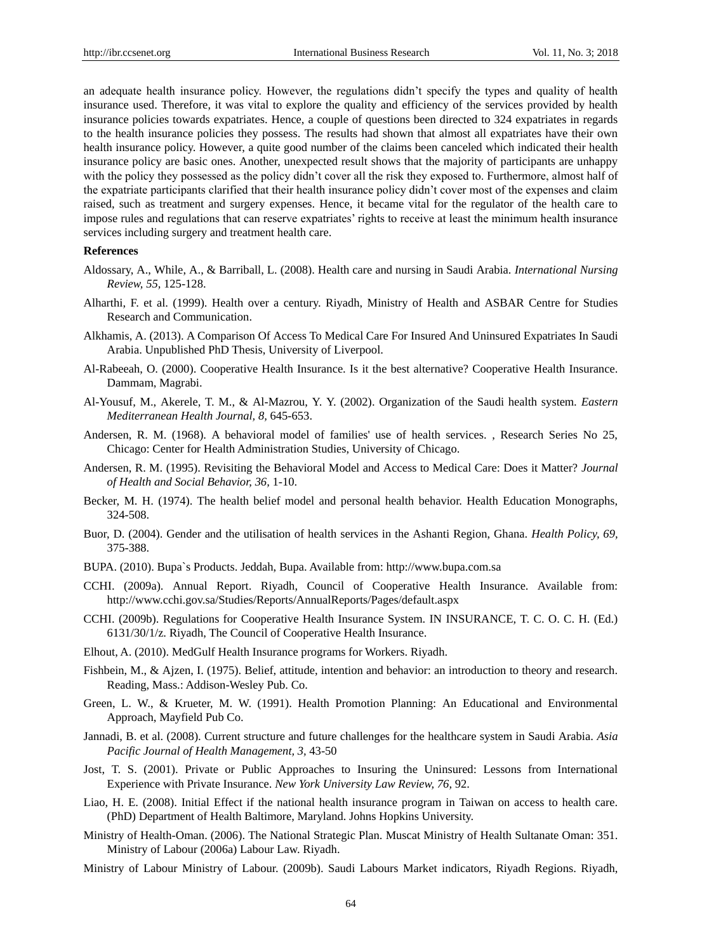an adequate health insurance policy. However, the regulations didn't specify the types and quality of health insurance used. Therefore, it was vital to explore the quality and efficiency of the services provided by health insurance policies towards expatriates. Hence, a couple of questions been directed to 324 expatriates in regards to the health insurance policies they possess. The results had shown that almost all expatriates have their own health insurance policy. However, a quite good number of the claims been canceled which indicated their health insurance policy are basic ones. Another, unexpected result shows that the majority of participants are unhappy with the policy they possessed as the policy didn't cover all the risk they exposed to. Furthermore, almost half of the expatriate participants clarified that their health insurance policy didn't cover most of the expenses and claim raised, such as treatment and surgery expenses. Hence, it became vital for the regulator of the health care to impose rules and regulations that can reserve expatriates' rights to receive at least the minimum health insurance services including surgery and treatment health care.

#### **References**

- Aldossary, A., While, A., & Barriball, L. (2008). Health care and nursing in Saudi Arabia. *International Nursing Review, 55,* 125-128.
- Alharthi, F. et al. (1999). Health over a century. Riyadh, Ministry of Health and ASBAR Centre for Studies Research and Communication.
- Alkhamis, A. (2013). A Comparison Of Access To Medical Care For Insured And Uninsured Expatriates In Saudi Arabia. Unpublished PhD Thesis, University of Liverpool.
- Al-Rabeeah, O. (2000). Cooperative Health Insurance. Is it the best alternative? Cooperative Health Insurance. Dammam, Magrabi.
- Al-Yousuf, M., Akerele, T. M., & Al-Mazrou, Y. Y. (2002). Organization of the Saudi health system. *Eastern Mediterranean Health Journal, 8,* 645-653.
- Andersen, R. M. (1968). A behavioral model of families' use of health services. , Research Series No 25, Chicago: Center for Health Administration Studies, University of Chicago.
- Andersen, R. M. (1995). Revisiting the Behavioral Model and Access to Medical Care: Does it Matter? *Journal of Health and Social Behavior, 36,* 1-10.
- Becker, M. H. (1974). The health belief model and personal health behavior. Health Education Monographs, 324-508.
- Buor, D. (2004). Gender and the utilisation of health services in the Ashanti Region, Ghana. *Health Policy, 69,*  375-388.
- BUPA. (2010). Bupa`s Products. Jeddah, Bupa. Available from: [http://www.bupa.com.sa](http://www.bupa.com.sa/)
- CCHI. (2009a). Annual Report. Riyadh, Council of Cooperative Health Insurance. Available from: <http://www.cchi.gov.sa/Studies/Reports/AnnualReports/Pages/default.aspx>
- CCHI. (2009b). Regulations for Cooperative Health Insurance System. IN INSURANCE, T. C. O. C. H. (Ed.) 6131/30/1/z. Riyadh, The Council of Cooperative Health Insurance.
- Elhout, A. (2010). MedGulf Health Insurance programs for Workers. Riyadh.
- Fishbein, M., & Ajzen, I. (1975). Belief, attitude, intention and behavior: an introduction to theory and research. Reading, Mass.: Addison-Wesley Pub. Co.
- Green, L. W., & Krueter, M. W. (1991). Health Promotion Planning: An Educational and Environmental Approach, Mayfield Pub Co.
- Jannadi, B. et al. (2008). Current structure and future challenges for the healthcare system in Saudi Arabia. *Asia Pacific Journal of Health Management, 3,* 43-50
- Jost, T. S. (2001). Private or Public Approaches to Insuring the Uninsured: Lessons from International Experience with Private Insurance. *New York University Law Review, 76,* 92.
- Liao, H. E. (2008). Initial Effect if the national health insurance program in Taiwan on access to health care. (PhD) Department of Health Baltimore, Maryland. Johns Hopkins University.
- Ministry of Health-Oman. (2006). The National Strategic Plan. Muscat Ministry of Health Sultanate Oman: 351. Ministry of Labour (2006a) Labour Law. Riyadh.
- Ministry of Labour Ministry of Labour. (2009b). Saudi Labours Market indicators, Riyadh Regions. Riyadh,